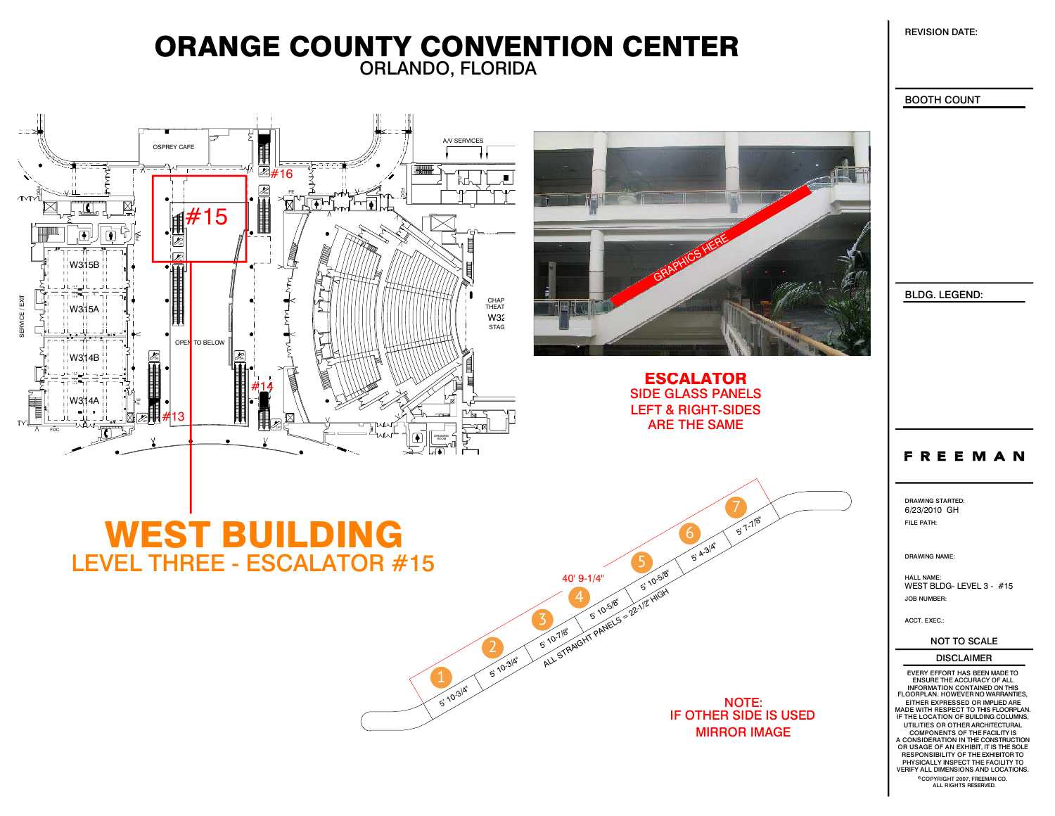REVISION DATE:

## ORLANDO, FLORIDA ORANGE COUNTY CONVENTION CENTER



BOOTH COUNT

BLDG. LEGEND:

### **FREEMAN**

DRAWING STARTED:FILE PATH: 6/23/2010 GH

DRAWING NAME:

HALL NAME: WEST BLDG- LEVEL 3 - #15JOB NUMBER:

ACCT. EXEC.:

NOT TO SCALE

#### DISCLAIMER

OR USAGE OF AN EXHIBIT, IT IS THE SOLE RESPONSIBILITY OF THE EXHIBITOR TO PHYSICALLY INSPECT THE FACILITY TOIF THE LOCATION OF BUILDING COLUMNS, A CONSIDERATION IN THE CONSTRUCTION MADE WITH RESPECT TO THIS FLOORPLAN. EITHER EXPRESSED OR IMPLIED AREVERIFY ALL DIMENSIONS AND LOCATIONS. COMPONENTS OF THE FACILITY IS COPYRIGHT 2007, FREEMAN CO.<br>ALL RIGHTS RESERVED. UTILITIES OR OTHER ARCHITECTURALFLOORPLAN. HOWEVER NO WARRANTIES, INFORMATION CONTAINED ON THIS ENSURE THE ACCURACY OF ALL EVERY EFFORT HAS BEEN MADE TO